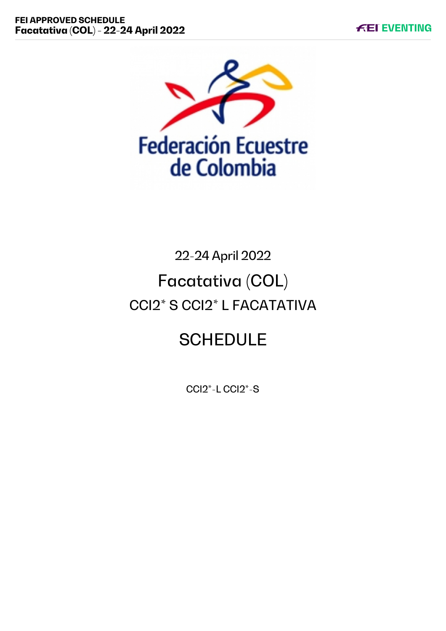

# 22-24 April 2022 Facatativa (COL) CCI2\* S CCI2\* L FACATATIVA

## **SCHEDULE**

CCI2\*-L CCI2\*-S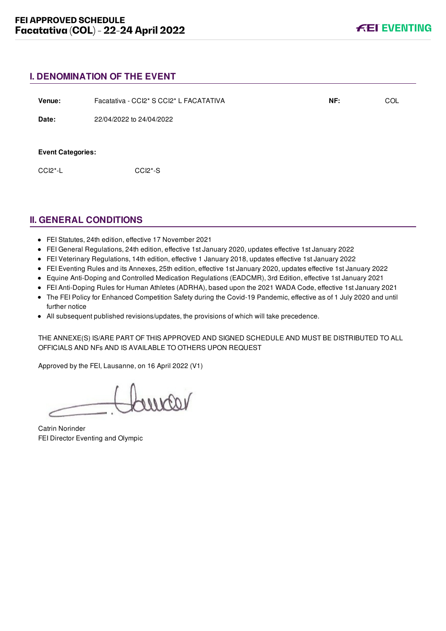#### **I. DENOMINATION OF THE EVENT**

| Venue:                                             | Facatativa - CCI2* S CCI2* L FACATATIVA | NF: | <b>COL</b> |
|----------------------------------------------------|-----------------------------------------|-----|------------|
| Date:                                              | 22/04/2022 to 24/04/2022                |     |            |
| <b>Event Categories:</b><br>$CCI2$ <sup>*</sup> -L | CCI <sub>2</sub> <sup>*</sup> -S        |     |            |

## **II. GENERAL CONDITIONS**

- FEI Statutes, 24th edition, effective 17 November 2021
- FEI General Regulations, 24th edition, effective 1st January 2020, updates effective 1st January 2022
- FEI Veterinary Regulations, 14th edition, effective 1 January 2018, updates effective 1st January 2022
- FEI Eventing Rules and its Annexes, 25th edition, effective 1st January 2020, updates effective 1st January 2022
- Equine Anti-Doping and Controlled Medication Regulations (EADCMR), 3rd Edition, effective 1st January 2021
- FEI Anti-Doping Rules for Human Athletes (ADRHA), based upon the 2021 WADA Code, effective 1st January 2021
- The FEI Policy for Enhanced Competition Safety during the Covid-19 Pandemic, effective as of 1 July 2020 and until further notice
- All subsequent published revisions/updates, the provisions of which will take precedence.

THE ANNEXE(S) IS/ARE PART OF THIS APPROVED AND SIGNED SCHEDULE AND MUST BE DISTRIBUTED TO ALL OFFICIALS AND NFs AND IS AVAILABLE TO OTHERS UPON REQUEST

Approved by the FEI, Lausanne, on 16 April 2022 (V1)

varion

Catrin Norinder FEI Director Eventing and Olympic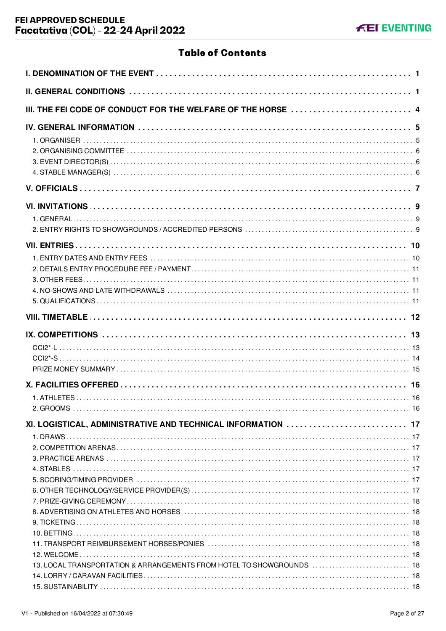## **Table of Contents**

| III. THE FEI CODE OF CONDUCT FOR THE WELFARE OF THE HORSE  4          |  |
|-----------------------------------------------------------------------|--|
|                                                                       |  |
|                                                                       |  |
|                                                                       |  |
|                                                                       |  |
|                                                                       |  |
|                                                                       |  |
|                                                                       |  |
|                                                                       |  |
|                                                                       |  |
| XI. LOGISTICAL, ADMINISTRATIVE AND TECHNICAL INFORMATION  17          |  |
|                                                                       |  |
|                                                                       |  |
|                                                                       |  |
| 13. LOCAL TRANSPORTATION & ARRANGEMENTS FROM HOTEL TO SHOWGROUNDS  18 |  |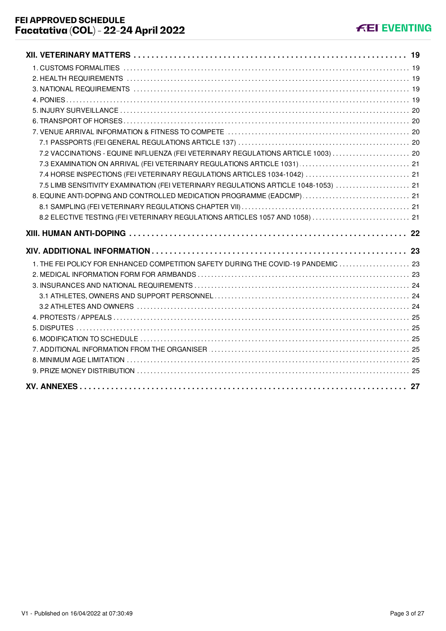| 7.2 VACCINATIONS - EQUINE INFLUENZA (FEI VETERINARY REGULATIONS ARTICLE 1003)  20   |  |
|-------------------------------------------------------------------------------------|--|
|                                                                                     |  |
| 7.4 HORSE INSPECTIONS (FEI VETERINARY REGULATIONS ARTICLES 1034-1042)  21           |  |
| 7.5 LIMB SENSITIVITY EXAMINATION (FEI VETERINARY REGULATIONS ARTICLE 1048-1053)  21 |  |
| 8. EQUINE ANTI-DOPING AND CONTROLLED MEDICATION PROGRAMME (EADCMP)  21              |  |
|                                                                                     |  |
| 8.2 ELECTIVE TESTING (FEI VETERINARY REGULATIONS ARTICLES 1057 AND 1058)  21        |  |
|                                                                                     |  |
|                                                                                     |  |
|                                                                                     |  |
| 1. THE FEI POLICY FOR ENHANCED COMPETITION SAFETY DURING THE COVID-19 PANDEMIC  23  |  |
|                                                                                     |  |
|                                                                                     |  |
|                                                                                     |  |
|                                                                                     |  |
|                                                                                     |  |
|                                                                                     |  |
|                                                                                     |  |
|                                                                                     |  |
|                                                                                     |  |
|                                                                                     |  |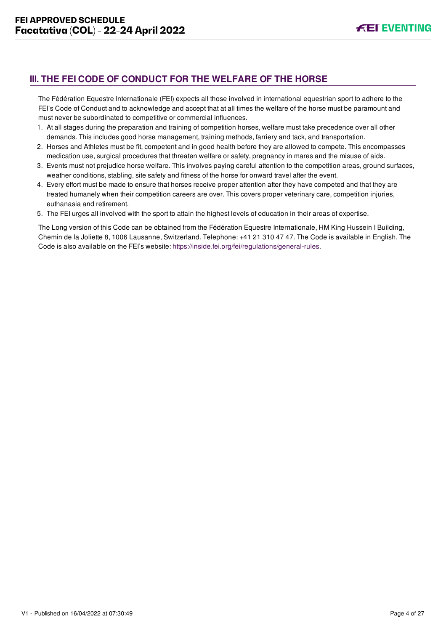## <span id="page-4-0"></span>**III. THE FEI CODE OF CONDUCT FOR THE WELFARE OF THE HORSE**

The Fédération Equestre Internationale (FEI) expects all those involved in international equestrian sport to adhere to the FEI's Code of Conduct and to acknowledge and accept that at all times the welfare of the horse must be paramount and must never be subordinated to competitive or commercial influences.

- 1. At all stages during the preparation and training of competition horses, welfare must take precedence over all other demands. This includes good horse management, training methods, farriery and tack, and transportation.
- 2. Horses and Athletes must be fit, competent and in good health before they are allowed to compete. This encompasses medication use, surgical procedures that threaten welfare or safety, pregnancy in mares and the misuse of aids.
- 3. Events must not prejudice horse welfare. This involves paying careful attention to the competition areas, ground surfaces, weather conditions, stabling, site safety and fitness of the horse for onward travel after the event.
- 4. Every effort must be made to ensure that horses receive proper attention after they have competed and that they are treated humanely when their competition careers are over. This covers proper veterinary care, competition injuries, euthanasia and retirement.
- 5. The FEI urges all involved with the sport to attain the highest levels of education in their areas of expertise.

The Long version of this Code can be obtained from the Fédération Equestre Internationale, HM King Hussein I Building, Chemin de la Joliette 8, 1006 Lausanne, Switzerland. Telephone: +41 21 310 47 47. The Code is available in English. The Code is also available on the FEI's website:<https://inside.fei.org/fei/regulations/general-rules>.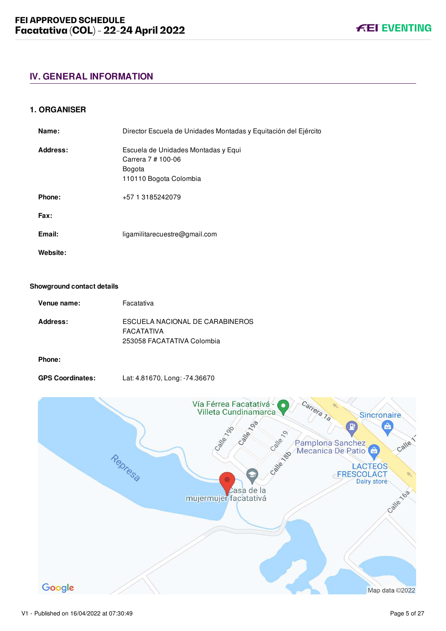## <span id="page-5-0"></span>**IV. GENERAL INFORMATION**

#### <span id="page-5-1"></span>**1. ORGANISER**

| Name:    | Director Escuela de Unidades Montadas y Equitación del Ejército                                      |
|----------|------------------------------------------------------------------------------------------------------|
| Address: | Escuela de Unidades Montadas y Equi<br>Carrera 7 # 100-06<br><b>Bogota</b><br>110110 Bogota Colombia |
| Phone:   | +57 1 3185242079                                                                                     |
| Fax:     |                                                                                                      |
| Email:   | ligamilitarecuestre@gmail.com                                                                        |
| Website: |                                                                                                      |

#### **Showground contact details**

| Venue name:     | Facatativa                                                                  |
|-----------------|-----------------------------------------------------------------------------|
| <b>Address:</b> | ESCUELA NACIONAL DE CARABINEROS<br>FACATATIVA<br>253058 FACATATIVA Colombia |
|                 |                                                                             |

#### **Phone:**

**GPS Coordinates:** Lat: 4.81670, Long: -74.36670

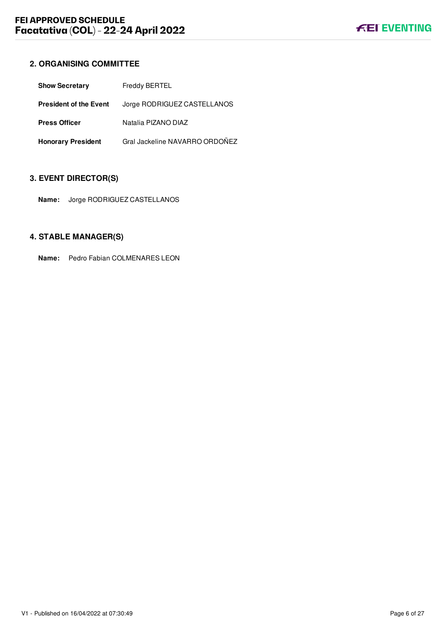## <span id="page-6-0"></span>**2. ORGANISING COMMITTEE**

| <b>Show Secretary</b>         | Freddy BERTEL                  |
|-------------------------------|--------------------------------|
| <b>President of the Event</b> | Jorge RODRIGUEZ CASTELLANOS    |
| <b>Press Officer</b>          | Natalia PIZANO DIAZ            |
| <b>Honorary President</b>     | Gral Jackeline NAVARRO ORDOÑEZ |

## <span id="page-6-1"></span>**3. EVENT DIRECTOR(S)**

**Name:** Jorge RODRIGUEZ CASTELLANOS

## <span id="page-6-2"></span>**4. STABLE MANAGER(S)**

**Name:** Pedro Fabian COLMENARES LEON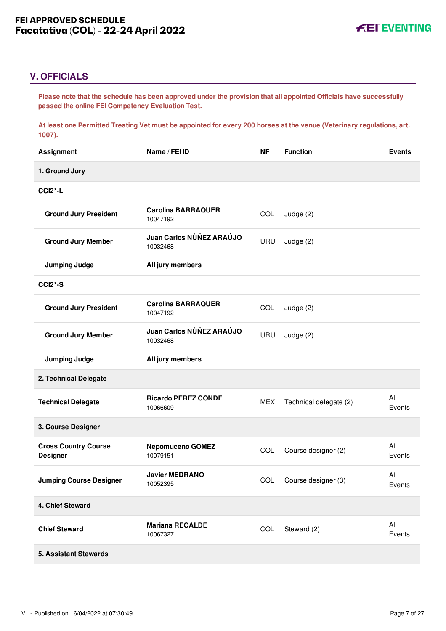## <span id="page-7-0"></span>**V. OFFICIALS**

**Please note that the schedule has been approved under the provision that all appointed Officials have successfully passed the online FEI Competency Evaluation Test.** 

**At least one Permitted Treating Vet must be appointed for every 200 horses at the venue (Veterinary regulations, art. 1007).**

| <b>Assignment</b>                              | Name / FEI ID                          | <b>NF</b>  | <b>Function</b>         | <b>Events</b> |
|------------------------------------------------|----------------------------------------|------------|-------------------------|---------------|
| 1. Ground Jury                                 |                                        |            |                         |               |
| CCI <sub>2</sub> <sup>*</sup> -L               |                                        |            |                         |               |
| <b>Ground Jury President</b>                   | <b>Carolina BARRAQUER</b><br>10047192  | COL        | Judge $(2)$             |               |
| <b>Ground Jury Member</b>                      | Juan Carlos NÙÑEZ ARAÚJO<br>10032468   | URU        | Judge (2)               |               |
| <b>Jumping Judge</b>                           | All jury members                       |            |                         |               |
| $CCI2*-S$                                      |                                        |            |                         |               |
| <b>Ground Jury President</b>                   | <b>Carolina BARRAQUER</b><br>10047192  | COL        | Judge (2)               |               |
| <b>Ground Jury Member</b>                      | Juan Carlos NÙÑEZ ARAÚJO<br>10032468   | URU        | Judge (2)               |               |
| <b>Jumping Judge</b>                           | All jury members                       |            |                         |               |
| 2. Technical Delegate                          |                                        |            |                         |               |
| <b>Technical Delegate</b>                      | <b>Ricardo PEREZ CONDE</b><br>10066609 | <b>MEX</b> | Technical delegate (2)  | All<br>Events |
| 3. Course Designer                             |                                        |            |                         |               |
| <b>Cross Country Course</b><br><b>Designer</b> | <b>Nepomuceno GOMEZ</b><br>10079151    | COL        | Course designer (2)     | All<br>Events |
| <b>Jumping Course Designer</b>                 | <b>Javier MEDRANO</b><br>10052395      |            | COL Course designer (3) | All<br>Events |
| 4. Chief Steward                               |                                        |            |                         |               |
| <b>Chief Steward</b>                           | <b>Mariana RECALDE</b><br>10067327     | COL        | Steward (2)             | All<br>Events |
| <b>5. Assistant Stewards</b>                   |                                        |            |                         |               |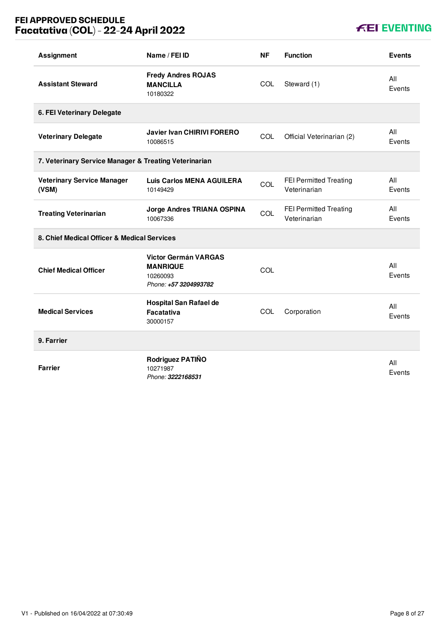## **FEI APPROVED SCHEDULE Facatativa (COL) - 22-24 April 2022**

## **KEI EVENTING**

| <b>Assignment</b>                                     | Name / FEI ID                                                                       | <b>NF</b> | <b>Function</b>                               | <b>Events</b> |
|-------------------------------------------------------|-------------------------------------------------------------------------------------|-----------|-----------------------------------------------|---------------|
| <b>Assistant Steward</b>                              | <b>Fredy Andres ROJAS</b><br><b>MANCILLA</b><br>10180322                            | COL       | Steward (1)                                   | All<br>Events |
| 6. FEI Veterinary Delegate                            |                                                                                     |           |                                               |               |
| <b>Veterinary Delegate</b>                            | <b>Javier Ivan CHIRIVI FORERO</b><br>10086515                                       | COL       | Official Veterinarian (2)                     | All<br>Events |
| 7. Veterinary Service Manager & Treating Veterinarian |                                                                                     |           |                                               |               |
| <b>Veterinary Service Manager</b><br>(VSM)            | <b>Luis Carlos MENA AGUILERA</b><br>10149429                                        | COL       | <b>FEI Permitted Treating</b><br>Veterinarian | All<br>Events |
| <b>Treating Veterinarian</b>                          | Jorge Andres TRIANA OSPINA<br>10067336                                              | COL       | FEI Permitted Treating<br>Veterinarian        | All<br>Events |
| 8. Chief Medical Officer & Medical Services           |                                                                                     |           |                                               |               |
| <b>Chief Medical Officer</b>                          | <b>Victor Germán VARGAS</b><br><b>MANRIQUE</b><br>10260093<br>Phone: +57 3204993782 | COL       |                                               | All<br>Events |
| <b>Medical Services</b>                               | <b>Hospital San Rafael de</b><br><b>Facatativa</b><br>30000157                      | COL       | Corporation                                   | All<br>Events |
| 9. Farrier                                            |                                                                                     |           |                                               |               |
| <b>Farrier</b>                                        | Rodriguez PATIÑO<br>10271987<br>Phone: 3222168531                                   |           |                                               | All<br>Events |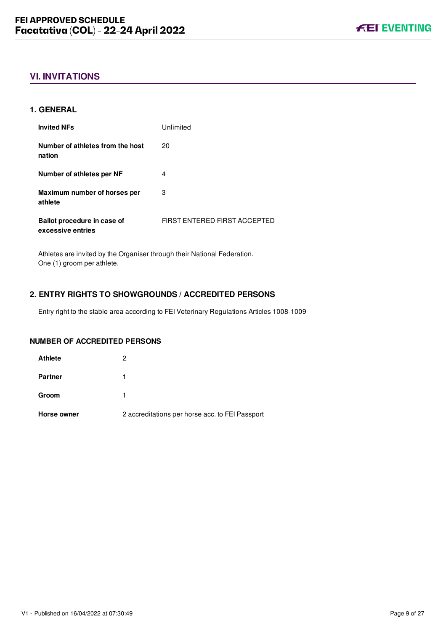## <span id="page-9-0"></span>**VI. INVITATIONS**

#### <span id="page-9-1"></span>**1. GENERAL**

| <b>Invited NFs</b>                               | Unlimited                           |
|--------------------------------------------------|-------------------------------------|
| Number of athletes from the host<br>nation       | 20                                  |
| Number of athletes per NF                        | 4                                   |
| Maximum number of horses per<br>athlete          | 3                                   |
| Ballot procedure in case of<br>excessive entries | <b>FIRST ENTERED FIRST ACCEPTED</b> |

Athletes are invited by the Organiser through their National Federation. One (1) groom per athlete.

#### <span id="page-9-2"></span>**2. ENTRY RIGHTS TO SHOWGROUNDS / ACCREDITED PERSONS**

Entry right to the stable area according to FEI Veterinary Regulations Articles 1008-1009

#### **NUMBER OF ACCREDITED PERSONS**

| Horse owner    | 2 accreditations per horse acc. to FEI Passport |
|----------------|-------------------------------------------------|
| Groom          |                                                 |
| <b>Partner</b> |                                                 |
| <b>Athlete</b> | 2                                               |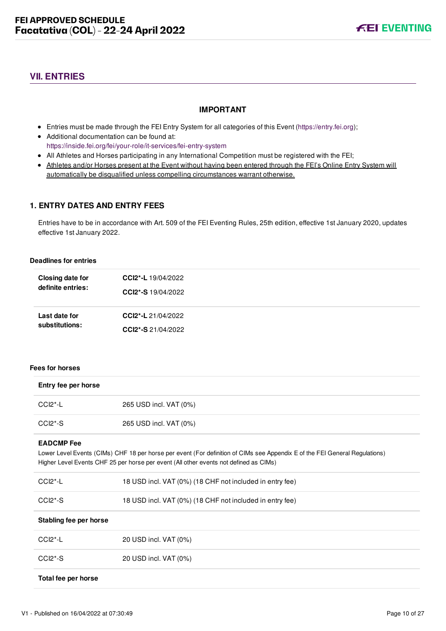## <span id="page-10-0"></span>**VII. ENTRIES**

#### **IMPORTANT**

- Entries must be made through the FEI Entry System for all categories of this Event ([https://entry.fei.org\)](https://entry.fei.org);
- Additional documentation can be found at: <https://inside.fei.org/fei/your-role/it-services/fei-entry-system>
- All Athletes and Horses participating in any International Competition must be registered with the FEI;
- Athletes and/or Horses present at the Event without having been entered through the FEI's Online Entry System will automatically be disqualified unless compelling circumstances warrant otherwise.

#### <span id="page-10-1"></span>**1. ENTRY DATES AND ENTRY FEES**

Entries have to be in accordance with Art. 509 of the FEI Eventing Rules, 25th edition, effective 1st January 2020, updates effective 1st January 2022.

#### **Deadlines for entries**

| Closing date for  | CCI2*-L 19/04/2022        |  |
|-------------------|---------------------------|--|
| definite entries: | <b>CCI2*-S</b> 19/04/2022 |  |
| Last date for     | CCI2*-L 21/04/2022        |  |
| substitutions:    | <b>CCI2*-S</b> 21/04/2022 |  |

#### **Fees for horses**

| Entry fee per horse    |                                                                                                                                                                                                                      |
|------------------------|----------------------------------------------------------------------------------------------------------------------------------------------------------------------------------------------------------------------|
| $CCI2^* - L$           | 265 USD incl. VAT (0%)                                                                                                                                                                                               |
| $CCI2*-S$              | 265 USD incl. VAT (0%)                                                                                                                                                                                               |
| <b>EADCMP Fee</b>      | Lower Level Events (CIMs) CHF 18 per horse per event (For definition of CIMs see Appendix E of the FEI General Regulations)<br>Higher Level Events CHF 25 per horse per event (All other events not defined as CIMs) |
| $CCl2$ <sup>*</sup> -L | 18 USD incl. VAT (0%) (18 CHF not included in entry fee)                                                                                                                                                             |
| $CCI2*-S$              | 18 USD incl. VAT (0%) (18 CHF not included in entry fee)                                                                                                                                                             |
| Stabling fee per horse |                                                                                                                                                                                                                      |
| $CCI2$ *-L             | 20 USD incl. VAT (0%)                                                                                                                                                                                                |
| $CCI2*-S$              | 20 USD incl. VAT (0%)                                                                                                                                                                                                |
| Total fee per horse    |                                                                                                                                                                                                                      |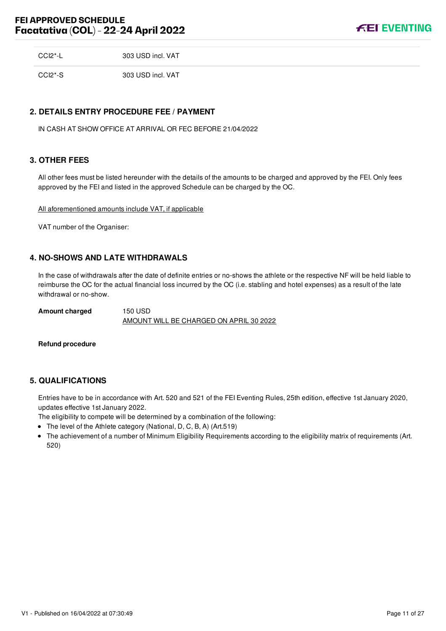**FEI EVENTING** 

| CCI2*-L | 303 USD incl. VAT |
|---------|-------------------|
|         |                   |

CCI2\*-S 303 USD incl. VAT

#### <span id="page-11-0"></span>**2. DETAILS ENTRY PROCEDURE FEE / PAYMENT**

IN CASH AT SHOW OFFICE AT ARRIVAL OR FEC BEFORE 21/04/2022

#### <span id="page-11-1"></span>**3. OTHER FEES**

All other fees must be listed hereunder with the details of the amounts to be charged and approved by the FEI. Only fees approved by the FEI and listed in the approved Schedule can be charged by the OC.

All aforementioned amounts include VAT, if applicable

VAT number of the Organiser:

#### <span id="page-11-2"></span>**4. NO-SHOWS AND LATE WITHDRAWALS**

In the case of withdrawals after the date of definite entries or no-shows the athlete or the respective NF will be held liable to reimburse the OC for the actual financial loss incurred by the OC (i.e. stabling and hotel expenses) as a result of the late withdrawal or no-show.

**Amount charged** 150 USD AMOUNT WILL BE CHARGED ON APRIL 30 2022

#### **Refund procedure**

#### <span id="page-11-3"></span>**5. QUALIFICATIONS**

Entries have to be in accordance with Art. 520 and 521 of the FEI Eventing Rules, 25th edition, effective 1st January 2020, updates effective 1st January 2022.

The eligibility to compete will be determined by a combination of the following:

- The level of the Athlete category (National, D, C, B, A) (Art.519)
- The achievement of a number of Minimum Eligibility Requirements according to the eligibility matrix of requirements (Art. 520)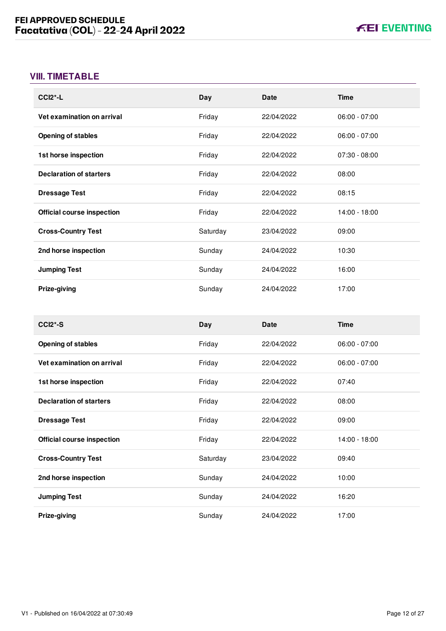## <span id="page-12-0"></span>**VIII. TIMETABLE**

| $CCI2$ <sup>*</sup> -L            | Day      | <b>Date</b> | <b>Time</b>     |
|-----------------------------------|----------|-------------|-----------------|
| Vet examination on arrival        | Friday   | 22/04/2022  | $06:00 - 07:00$ |
| <b>Opening of stables</b>         | Friday   | 22/04/2022  | $06:00 - 07:00$ |
| 1st horse inspection              | Friday   | 22/04/2022  | $07:30 - 08:00$ |
| <b>Declaration of starters</b>    | Friday   | 22/04/2022  | 08:00           |
| <b>Dressage Test</b>              | Friday   | 22/04/2022  | 08:15           |
| <b>Official course inspection</b> | Friday   | 22/04/2022  | 14:00 - 18:00   |
| <b>Cross-Country Test</b>         | Saturday | 23/04/2022  | 09:00           |
| 2nd horse inspection              | Sunday   | 24/04/2022  | 10:30           |
| <b>Jumping Test</b>               | Sunday   | 24/04/2022  | 16:00           |
| Prize-giving                      | Sunday   | 24/04/2022  | 17:00           |

| $CCI2*-S$                         | Day      | <b>Date</b> | <b>Time</b>     |
|-----------------------------------|----------|-------------|-----------------|
| <b>Opening of stables</b>         | Friday   | 22/04/2022  | $06:00 - 07:00$ |
| Vet examination on arrival        | Friday   | 22/04/2022  | $06:00 - 07:00$ |
| 1st horse inspection              | Friday   | 22/04/2022  | 07:40           |
| <b>Declaration of starters</b>    | Friday   | 22/04/2022  | 08:00           |
| <b>Dressage Test</b>              | Friday   | 22/04/2022  | 09:00           |
| <b>Official course inspection</b> | Friday   | 22/04/2022  | 14:00 - 18:00   |
| <b>Cross-Country Test</b>         | Saturday | 23/04/2022  | 09:40           |
| 2nd horse inspection              | Sunday   | 24/04/2022  | 10:00           |
| <b>Jumping Test</b>               | Sunday   | 24/04/2022  | 16:20           |
| Prize-giving                      | Sunday   | 24/04/2022  | 17:00           |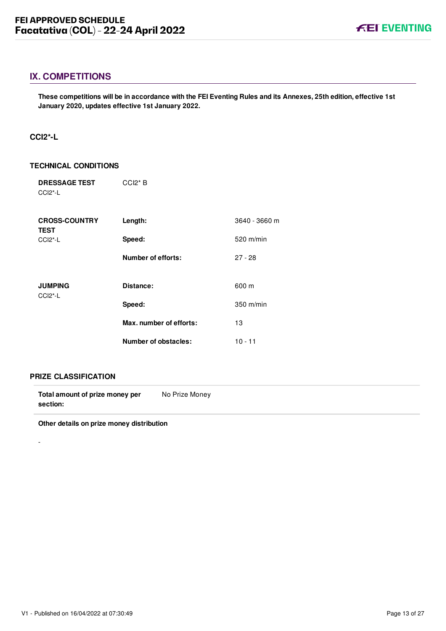### <span id="page-13-0"></span>**IX. COMPETITIONS**

**These competitions will be in accordance with the FEI Eventing Rules and its Annexes, 25th edition, effective 1st January 2020, updates effective 1st January 2022.**

#### <span id="page-13-1"></span>**CCI2\*-L**

#### **TECHNICAL CONDITIONS**

| <b>DRESSAGE TEST</b><br>CCI <sub>2</sub> <sup>*</sup> -L | $CCI2*B$                |               |
|----------------------------------------------------------|-------------------------|---------------|
| <b>CROSS-COUNTRY</b><br><b>TEST</b>                      | Length:                 | 3640 - 3660 m |
| CCI <sub>2</sub> <sup>*</sup> -L                         | Speed:                  | $520$ m/min   |
|                                                          | Number of efforts:      | $27 - 28$     |
| <b>JUMPING</b>                                           | Distance:               | 600 m         |
| CCI <sub>2</sub> <sup>*</sup> -L                         | Speed:                  | $350$ m/min   |
|                                                          | Max. number of efforts: | 13            |
|                                                          | Number of obstacles:    | $10 - 11$     |

#### **PRIZE CLASSIFICATION**

-

| Total amount of prize money per | No Prize Money |
|---------------------------------|----------------|
| section:                        |                |

**Other details on prize money distribution**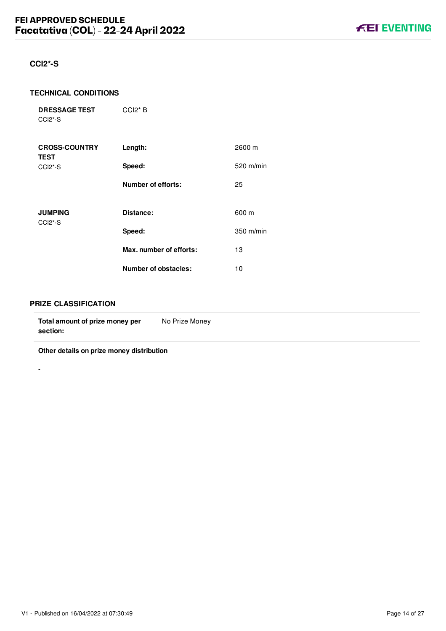#### <span id="page-14-0"></span>**CCI2\*-S**

#### **TECHNICAL CONDITIONS**

**DRESSAGE TEST** CCI2\*-S

| <b>CROSS-COUNTRY</b><br><b>TEST</b> | Length:                   | 2600 m              |
|-------------------------------------|---------------------------|---------------------|
| CCI <sub>2</sub> <sup>*</sup> -S    | Speed:                    | $520$ m/min         |
|                                     | <b>Number of efforts:</b> | 25                  |
| <b>JUMPING</b>                      | Distance:                 | 600 m               |
| CCI <sub>2</sub> <sup>*</sup> -S    | Speed:                    | $350 \text{ m/min}$ |
|                                     | Max. number of efforts:   | 13                  |
|                                     | Number of obstacles:      | 10                  |

CCI2\* B

#### **PRIZE CLASSIFICATION**

-

**Other details on prize money distribution**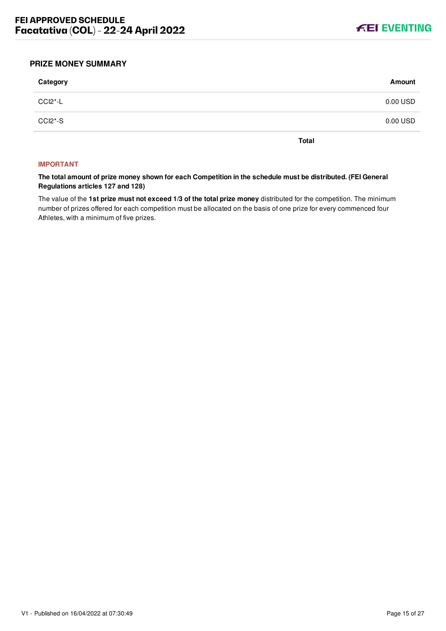

#### <span id="page-15-0"></span>**PRIZE MONEY SUMMARY**

| Category | Amount   |
|----------|----------|
| CCI2*-L  | 0.00 USD |
| CCI2*-S  | 0.00 USD |
|          |          |

**Total**

#### **IMPORTANT**

**The total amount of prize money shown for each Competition in the schedule must be distributed. (FEI General Regulations articles 127 and 128)**

The value of the **1st prize must not exceed 1/3 of the total prize money** distributed for the competition. The minimum number of prizes offered for each competition must be allocated on the basis of one prize for every commenced four Athletes, with a minimum of five prizes.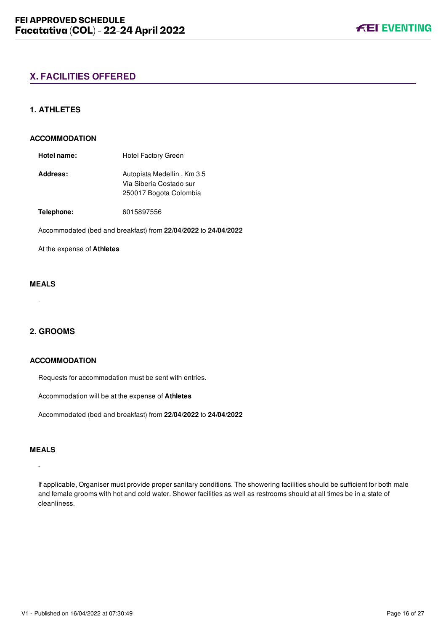#### <span id="page-16-1"></span><span id="page-16-0"></span>**1. ATHLETES**

#### **ACCOMMODATION**

Hotel name: Hotel Factory Green **Address:** Autopista Medellin , Km 3.5 Via Siberia Costado sur 250017 Bogota Colombia

**Telephone:** 6015897556

Accommodated (bed and breakfast) from **22/04/2022** to **24/04/2022**

At the expense of **Athletes**

#### **MEALS**

-

#### <span id="page-16-2"></span>**2. GROOMS**

#### **ACCOMMODATION**

Requests for accommodation must be sent with entries.

Accommodation will be at the expense of **Athletes**

Accommodated (bed and breakfast) from **22/04/2022** to **24/04/2022**

#### **MEALS**

## -

If applicable, Organiser must provide proper sanitary conditions. The showering facilities should be sufficient for both male and female grooms with hot and cold water. Shower facilities as well as restrooms should at all times be in a state of cleanliness.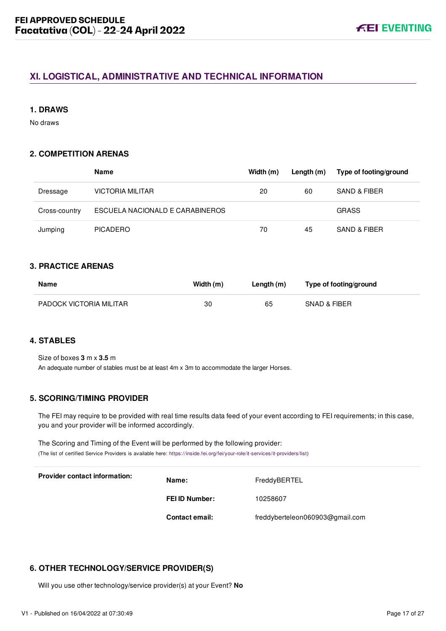## <span id="page-17-0"></span>**XI. LOGISTICAL, ADMINISTRATIVE AND TECHNICAL INFORMATION**

#### <span id="page-17-1"></span>**1. DRAWS**

No draws

#### <span id="page-17-2"></span>**2. COMPETITION ARENAS**

|               | Name                            | Width (m) | Length (m) | Type of footing/ground |
|---------------|---------------------------------|-----------|------------|------------------------|
| Dressage      | <b>VICTORIA MILITAR</b>         | 20        | 60         | SAND & FIBER           |
| Cross-country | ESCUELA NACIONALD E CARABINEROS |           |            | <b>GRASS</b>           |
| Jumping       | <b>PICADERO</b>                 | 70        | 45         | SAND & FIBER           |

#### <span id="page-17-3"></span>**3. PRACTICE ARENAS**

| Name                    | Width (m) | Length (m) | Type of footing/ground |
|-------------------------|-----------|------------|------------------------|
| PADOCK VICTORIA MILITAR | 30        | 65         | SNAD & FIBER           |

## <span id="page-17-4"></span>**4. STABLES**

Size of boxes **3** m x **3.5** m An adequate number of stables must be at least 4m x 3m to accommodate the larger Horses.

#### <span id="page-17-5"></span>**5. SCORING/TIMING PROVIDER**

The FEI may require to be provided with real time results data feed of your event according to FEI requirements; in this case, you and your provider will be informed accordingly.

The Scoring and Timing of the Event will be performed by the following provider: (The list of certified Service Providers is available here: [https://inside.fei.org/fei/your-role/it-services/it-providers/list\)](https://inside.fei.org/fei/your-role/it-services/it-providers/list)

| <b>Provider contact information:</b> | Name:                 | FreddyBERTEL                    |
|--------------------------------------|-----------------------|---------------------------------|
|                                      | FEI ID Number:        | 10258607                        |
|                                      | <b>Contact email:</b> | freddyberteleon060903@gmail.com |

#### <span id="page-17-6"></span>**6. OTHER TECHNOLOGY/SERVICE PROVIDER(S)**

Will you use other technology/service provider(s) at your Event? **No**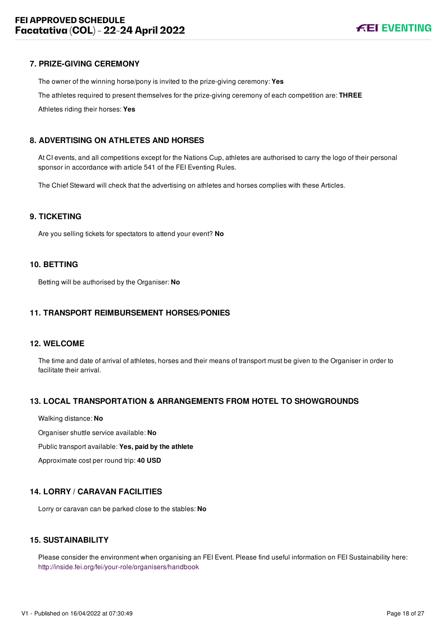#### <span id="page-18-0"></span>**7. PRIZE-GIVING CEREMONY**

The owner of the winning horse/pony is invited to the prize-giving ceremony: **Yes**

The athletes required to present themselves for the prize-giving ceremony of each competition are: **THREE**

Athletes riding their horses: **Yes**

#### <span id="page-18-1"></span>**8. ADVERTISING ON ATHLETES AND HORSES**

At CI events, and all competitions except for the Nations Cup, athletes are authorised to carry the logo of their personal sponsor in accordance with article 541 of the FEI Eventing Rules.

The Chief Steward will check that the advertising on athletes and horses complies with these Articles.

#### <span id="page-18-2"></span>**9. TICKETING**

Are you selling tickets for spectators to attend your event? **No**

#### <span id="page-18-3"></span>**10. BETTING**

Betting will be authorised by the Organiser: **No**

#### <span id="page-18-4"></span>**11. TRANSPORT REIMBURSEMENT HORSES/PONIES**

#### <span id="page-18-5"></span>**12. WELCOME**

The time and date of arrival of athletes, horses and their means of transport must be given to the Organiser in order to facilitate their arrival.

#### <span id="page-18-6"></span>**13. LOCAL TRANSPORTATION & ARRANGEMENTS FROM HOTEL TO SHOWGROUNDS**

Walking distance: **No**

Organiser shuttle service available: **No**

Public transport available: **Yes, paid by the athlete**

Approximate cost per round trip: **40 USD**

#### <span id="page-18-7"></span>**14. LORRY / CARAVAN FACILITIES**

Lorry or caravan can be parked close to the stables: **No**

#### <span id="page-18-8"></span>**15. SUSTAINABILITY**

Please consider the environment when organising an FEI Event. Please find useful information on FEI Sustainability here: <http://inside.fei.org/fei/your-role/organisers/handbook>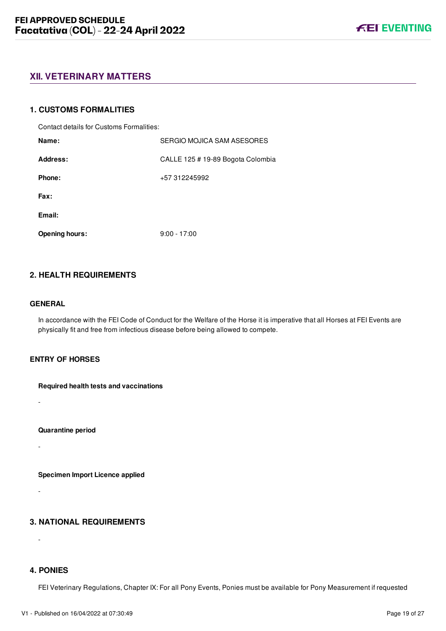### <span id="page-19-0"></span>**XII. VETERINARY MATTERS**

#### <span id="page-19-1"></span>**1. CUSTOMS FORMALITIES**

Contact details for Customs Formalities:

| Name:                 | SERGIO MOJICA SAM ASESORES        |
|-----------------------|-----------------------------------|
| Address:              | CALLE 125 # 19-89 Bogota Colombia |
| Phone:                | +57 312245992                     |
| Fax:                  |                                   |
| Email:                |                                   |
| <b>Opening hours:</b> | $9:00 - 17:00$                    |

#### <span id="page-19-2"></span>**2. HEALTH REQUIREMENTS**

#### **GENERAL**

-

-

-

In accordance with the FEI Code of Conduct for the Welfare of the Horse it is imperative that all Horses at FEI Events are physically fit and free from infectious disease before being allowed to compete.

#### **ENTRY OF HORSES**

**Required health tests and vaccinations**

**Quarantine period**

-

**Specimen Import Licence applied**

#### <span id="page-19-3"></span>**3. NATIONAL REQUIREMENTS**

#### <span id="page-19-4"></span>**4. PONIES**

FEI Veterinary Regulations, Chapter IX: For all Pony Events, Ponies must be available for Pony Measurement if requested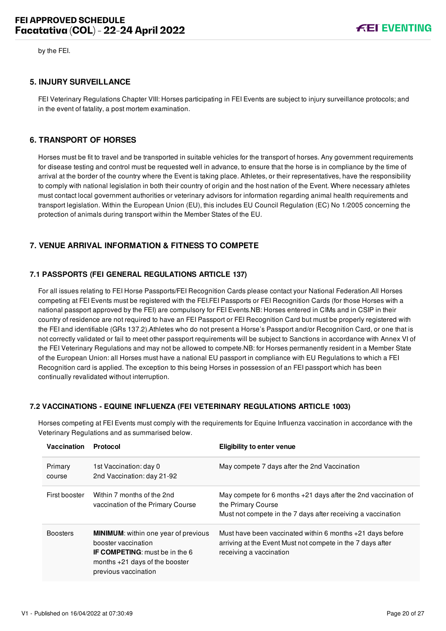by the FEI.

#### <span id="page-20-0"></span>**5. INJURY SURVEILLANCE**

FEI Veterinary Regulations Chapter VIII: Horses participating in FEI Events are subject to injury surveillance protocols; and in the event of fatality, a post mortem examination.

#### <span id="page-20-1"></span>**6. TRANSPORT OF HORSES**

Horses must be fit to travel and be transported in suitable vehicles for the transport of horses. Any government requirements for disease testing and control must be requested well in advance, to ensure that the horse is in compliance by the time of arrival at the border of the country where the Event is taking place. Athletes, or their representatives, have the responsibility to comply with national legislation in both their country of origin and the host nation of the Event. Where necessary athletes must contact local government authorities or veterinary advisors for information regarding animal health requirements and transport legislation. Within the European Union (EU), this includes EU Council Regulation (EC) No 1/2005 concerning the protection of animals during transport within the Member States of the EU.

#### <span id="page-20-2"></span>**7. VENUE ARRIVAL INFORMATION & FITNESS TO COMPETE**

#### <span id="page-20-3"></span>**7.1 PASSPORTS (FEI GENERAL REGULATIONS ARTICLE 137)**

For all issues relating to FEI Horse Passports/FEI Recognition Cards please contact your National Federation.All Horses competing at FEI Events must be registered with the FEI.FEI Passports or FEI Recognition Cards (for those Horses with a national passport approved by the FEI) are compulsory for FEI Events.NB: Horses entered in CIMs and in CSIP in their country of residence are not required to have an FEI Passport or FEI Recognition Card but must be properly registered with the FEI and identifiable (GRs 137.2).Athletes who do not present a Horse's Passport and/or Recognition Card, or one that is not correctly validated or fail to meet other passport requirements will be subject to Sanctions in accordance with Annex VI of the FEI Veterinary Regulations and may not be allowed to compete.NB: for Horses permanently resident in a Member State of the European Union: all Horses must have a national EU passport in compliance with EU Regulations to which a FEI Recognition card is applied. The exception to this being Horses in possession of an FEI passport which has been continually revalidated without interruption.

#### <span id="page-20-4"></span>**7.2 VACCINATIONS - EQUINE INFLUENZA (FEI VETERINARY REGULATIONS ARTICLE 1003)**

Horses competing at FEI Events must comply with the requirements for Equine Influenza vaccination in accordance with the Veterinary Regulations and as summarised below.

| Vaccination       | Protocol                                                                                                                                                                | <b>Eligibility to enter venue</b>                                                                                                                    |
|-------------------|-------------------------------------------------------------------------------------------------------------------------------------------------------------------------|------------------------------------------------------------------------------------------------------------------------------------------------------|
| Primary<br>course | 1st Vaccination: day 0<br>2nd Vaccination: day 21-92                                                                                                                    | May compete 7 days after the 2nd Vaccination                                                                                                         |
| First booster     | Within 7 months of the 2nd<br>vaccination of the Primary Course                                                                                                         | May compete for 6 months +21 days after the 2nd vaccination of<br>the Primary Course<br>Must not compete in the 7 days after receiving a vaccination |
| <b>Boosters</b>   | <b>MINIMUM:</b> within one year of previous<br>booster vaccination<br><b>IF COMPETING:</b> must be in the 6<br>months $+21$ days of the booster<br>previous vaccination | Must have been vaccinated within 6 months $+21$ days before<br>arriving at the Event Must not compete in the 7 days after<br>receiving a vaccination |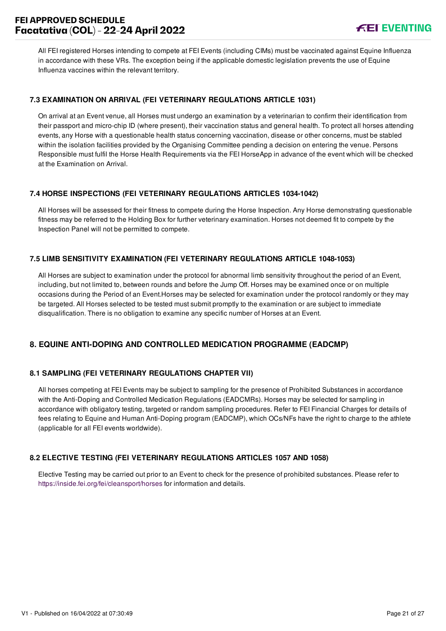## **FEI APPROVED SCHEDULE Facatativa (COL) - 22-24 April 2022**

All FEI registered Horses intending to compete at FEI Events (including CIMs) must be vaccinated against Equine Influenza in accordance with these VRs. The exception being if the applicable domestic legislation prevents the use of Equine Influenza vaccines within the relevant territory.

#### <span id="page-21-0"></span>**7.3 EXAMINATION ON ARRIVAL (FEI VETERINARY REGULATIONS ARTICLE 1031)**

On arrival at an Event venue, all Horses must undergo an examination by a veterinarian to confirm their identification from their passport and micro-chip ID (where present), their vaccination status and general health. To protect all horses attending events, any Horse with a questionable health status concerning vaccination, disease or other concerns, must be stabled within the isolation facilities provided by the Organising Committee pending a decision on entering the venue. Persons Responsible must fulfil the Horse Health Requirements via the FEI HorseApp in advance of the event which will be checked at the Examination on Arrival.

#### <span id="page-21-1"></span>**7.4 HORSE INSPECTIONS (FEI VETERINARY REGULATIONS ARTICLES 1034-1042)**

All Horses will be assessed for their fitness to compete during the Horse Inspection. Any Horse demonstrating questionable fitness may be referred to the Holding Box for further veterinary examination. Horses not deemed fit to compete by the Inspection Panel will not be permitted to compete.

#### <span id="page-21-2"></span>**7.5 LIMB SENSITIVITY EXAMINATION (FEI VETERINARY REGULATIONS ARTICLE 1048-1053)**

All Horses are subject to examination under the protocol for abnormal limb sensitivity throughout the period of an Event, including, but not limited to, between rounds and before the Jump Off. Horses may be examined once or on multiple occasions during the Period of an Event.Horses may be selected for examination under the protocol randomly or they may be targeted. All Horses selected to be tested must submit promptly to the examination or are subject to immediate disqualification. There is no obligation to examine any specific number of Horses at an Event.

#### <span id="page-21-3"></span>**8. EQUINE ANTI-DOPING AND CONTROLLED MEDICATION PROGRAMME (EADCMP)**

#### <span id="page-21-4"></span>**8.1 SAMPLING (FEI VETERINARY REGULATIONS CHAPTER VII)**

All horses competing at FEI Events may be subject to sampling for the presence of Prohibited Substances in accordance with the Anti-Doping and Controlled Medication Regulations (EADCMRs). Horses may be selected for sampling in accordance with obligatory testing, targeted or random sampling procedures. Refer to FEI Financial Charges for details of fees relating to Equine and Human Anti-Doping program (EADCMP), which OCs/NFs have the right to charge to the athlete (applicable for all FEI events worldwide).

#### <span id="page-21-5"></span>**8.2 ELECTIVE TESTING (FEI VETERINARY REGULATIONS ARTICLES 1057 AND 1058)**

Elective Testing may be carried out prior to an Event to check for the presence of prohibited substances. Please refer to <https://inside.fei.org/fei/cleansport/horses>for information and details.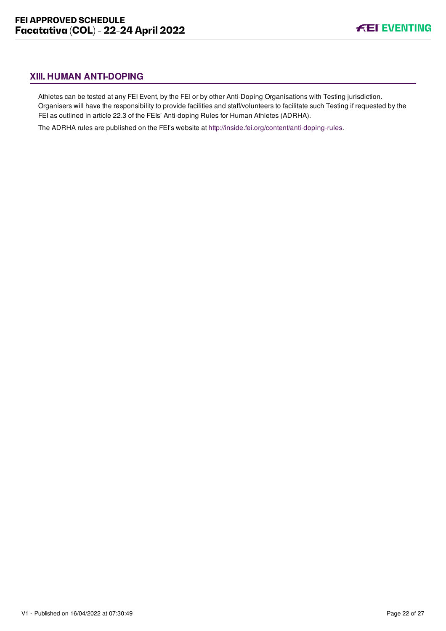## <span id="page-22-0"></span>**XIII. HUMAN ANTI-DOPING**

Athletes can be tested at any FEI Event, by the FEI or by other Anti-Doping Organisations with Testing jurisdiction. Organisers will have the responsibility to provide facilities and staff/volunteers to facilitate such Testing if requested by the FEI as outlined in article 22.3 of the FEIs' Anti-doping Rules for Human Athletes (ADRHA).

The ADRHA rules are published on the FEI's website at [http://inside.fei.org/content/anti-doping-rules.](http://inside.fei.org/content/anti-doping-rules)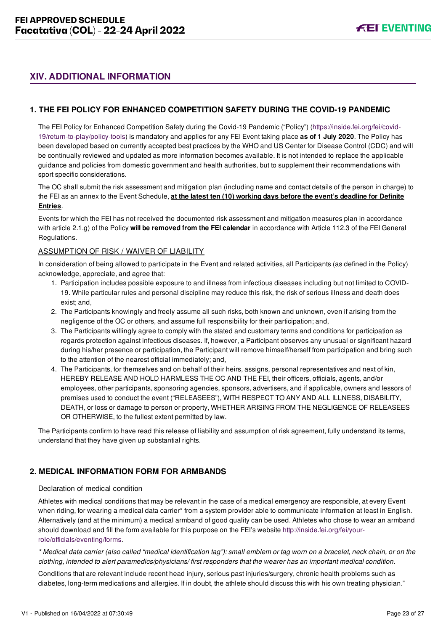## <span id="page-23-0"></span>**XIV. ADDITIONAL INFORMATION**

#### <span id="page-23-1"></span>**1. THE FEI POLICY FOR ENHANCED COMPETITION SAFETY DURING THE COVID-19 PANDEMIC**

[The FEI Policy for Enhanced Competition Safety during the Covid-19 Pandemic \("Policy"\) \(https://inside.fei.org/fei/covid-](https://inside.fei.org/fei/covid-19/return-to-play/policy-tools)19/return-to-play/policy-tools) is mandatory and applies for any FEI Event taking place **as of 1 July 2020**. The Policy has been developed based on currently accepted best practices by the WHO and US Center for Disease Control (CDC) and will be continually reviewed and updated as more information becomes available. It is not intended to replace the applicable guidance and policies from domestic government and health authorities, but to supplement their recommendations with sport specific considerations.

The OC shall submit the risk assessment and mitigation plan (including name and contact details of the person in charge) to the FEI as an annex to the Event Schedule, **at the latest ten (10) working days before the event's deadline for Definite Entries**.

Events for which the FEI has not received the documented risk assessment and mitigation measures plan in accordance with article 2.1.g) of the Policy **will be removed from the FEI calendar** in accordance with Article 112.3 of the FEI General Regulations.

#### ASSUMPTION OF RISK / WAIVER OF LIABILITY

In consideration of being allowed to participate in the Event and related activities, all Participants (as defined in the Policy) acknowledge, appreciate, and agree that:

- 1. Participation includes possible exposure to and illness from infectious diseases including but not limited to COVID-19. While particular rules and personal discipline may reduce this risk, the risk of serious illness and death does exist; and,
- 2. The Participants knowingly and freely assume all such risks, both known and unknown, even if arising from the negligence of the OC or others, and assume full responsibility for their participation; and,
- 3. The Participants willingly agree to comply with the stated and customary terms and conditions for participation as regards protection against infectious diseases. If, however, a Participant observes any unusual or significant hazard during his/her presence or participation, the Participant will remove himself/herself from participation and bring such to the attention of the nearest official immediately; and,
- 4. The Participants, for themselves and on behalf of their heirs, assigns, personal representatives and next of kin, HEREBY RELEASE AND HOLD HARMLESS THE OC AND THE FEI, their officers, officials, agents, and/or employees, other participants, sponsoring agencies, sponsors, advertisers, and if applicable, owners and lessors of premises used to conduct the event ("RELEASEES"), WITH RESPECT TO ANY AND ALL ILLNESS, DISABILITY, DEATH, or loss or damage to person or property, WHETHER ARISING FROM THE NEGLIGENCE OF RELEASEES OR OTHERWISE, to the fullest extent permitted by law.

The Participants confirm to have read this release of liability and assumption of risk agreement, fully understand its terms, understand that they have given up substantial rights.

#### <span id="page-23-2"></span>**2. MEDICAL INFORMATION FORM FOR ARMBANDS**

#### Declaration of medical condition

Athletes with medical conditions that may be relevant in the case of a medical emergency are responsible, at every Event when riding, for wearing a medical data carrier\* from a system provider able to communicate information at least in English. Alternatively (and at the minimum) a medical armband of good quality can be used. Athletes who chose to wear an armband [should download and fill the form available for this purpose on the FEI's website http://inside.fei.org/fei/your](http://inside.fei.org/fei/your-role/officials/eventing/forms)role/officials/eventing/forms.

*\* Medical data carrier (also called "medical identification tag"): small emblem or tag worn on a bracelet, neck chain, or on the clothing, intended to alert paramedics/physicians/ first responders that the wearer has an important medical condition.*

Conditions that are relevant include recent head injury, serious past injuries/surgery, chronic health problems such as diabetes, long-term medications and allergies. If in doubt, the athlete should discuss this with his own treating physician."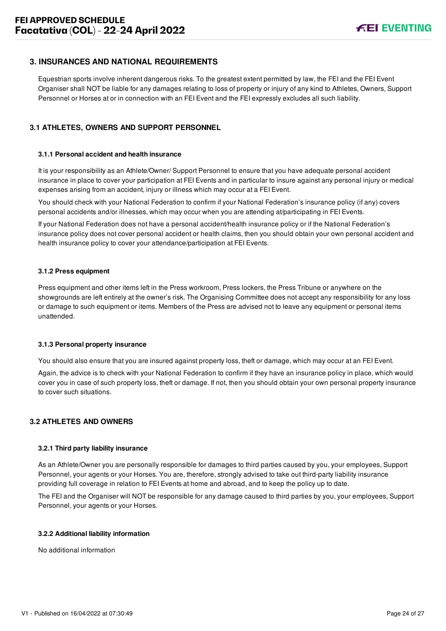#### <span id="page-24-0"></span>**3. INSURANCES AND NATIONAL REQUIREMENTS**

Equestrian sports involve inherent dangerous risks. To the greatest extent permitted by law, the FEI and the FEI Event Organiser shall NOT be liable for any damages relating to loss of property or injury of any kind to Athletes, Owners, Support Personnel or Horses at or in connection with an FEI Event and the FEI expressly excludes all such liability.

#### <span id="page-24-1"></span>**3.1 ATHLETES, OWNERS AND SUPPORT PERSONNEL**

#### **3.1.1 Personal accident and health insurance**

It is your responsibility as an Athlete/Owner/ Support Personnel to ensure that you have adequate personal accident insurance in place to cover your participation at FEI Events and in particular to insure against any personal injury or medical expenses arising from an accident, injury or illness which may occur at a FEI Event.

You should check with your National Federation to confirm if your National Federation's insurance policy (if any) covers personal accidents and/or illnesses, which may occur when you are attending at/participating in FEI Events.

If your National Federation does not have a personal accident/health insurance policy or if the National Federation's insurance policy does not cover personal accident or health claims, then you should obtain your own personal accident and health insurance policy to cover your attendance/participation at FEI Events.

#### **3.1.2 Press equipment**

Press equipment and other items left in the Press workroom, Press lockers, the Press Tribune or anywhere on the showgrounds are left entirely at the owner's risk. The Organising Committee does not accept any responsibility for any loss or damage to such equipment or items. Members of the Press are advised not to leave any equipment or personal items unattended.

#### **3.1.3 Personal property insurance**

You should also ensure that you are insured against property loss, theft or damage, which may occur at an FEI Event.

Again, the advice is to check with your National Federation to confirm if they have an insurance policy in place, which would cover you in case of such property loss, theft or damage. If not, then you should obtain your own personal property insurance to cover such situations.

#### <span id="page-24-2"></span>**3.2 ATHLETES AND OWNERS**

#### **3.2.1 Third party liability insurance**

As an Athlete/Owner you are personally responsible for damages to third parties caused by you, your employees, Support Personnel, your agents or your Horses. You are, therefore, strongly advised to take out third-party liability insurance providing full coverage in relation to FEI Events at home and abroad, and to keep the policy up to date.

The FEI and the Organiser will NOT be responsible for any damage caused to third parties by you, your employees, Support Personnel, your agents or your Horses.

#### **3.2.2 Additional liability information**

No additional information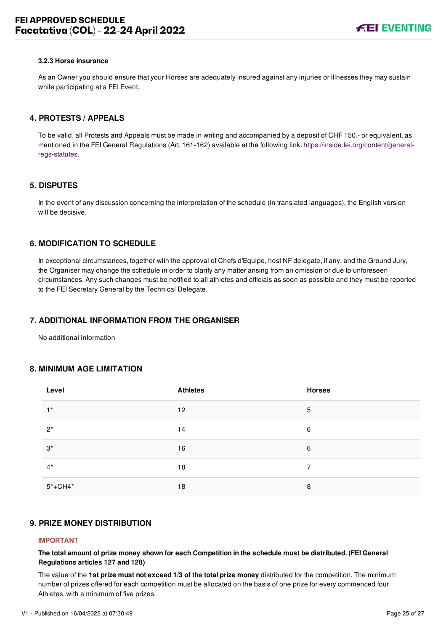#### **3.2.3 Horse insurance**

As an Owner you should ensure that your Horses are adequately insured against any injuries or illnesses they may sustain while participating at a FEI Event.

#### <span id="page-25-0"></span>**4. PROTESTS / APPEALS**

To be valid, all Protests and Appeals must be made in writing and accompanied by a deposit of CHF 150.- or equivalent, as [mentioned in the FEI General Regulations \(Art. 161-162\) available at the following link: https://inside.fei.org/content/general](https://inside.fei.org/content/general-regs-statutes)regs-statutes.

#### <span id="page-25-1"></span>**5. DISPUTES**

In the event of any discussion concerning the interpretation of the schedule (in translated languages), the English version will be decisive.

#### <span id="page-25-2"></span>**6. MODIFICATION TO SCHEDULE**

In exceptional circumstances, together with the approval of Chefs d'Equipe, host NF delegate, if any, and the Ground Jury, the Organiser may change the schedule in order to clarify any matter arising from an omission or due to unforeseen circumstances. Any such changes must be notified to all athletes and officials as soon as possible and they must be reported to the FEI Secretary General by the Technical Delegate.

#### <span id="page-25-3"></span>**7. ADDITIONAL INFORMATION FROM THE ORGANISER**

No additional information

#### <span id="page-25-4"></span>**8. MINIMUM AGE LIMITATION**

| Level       | <b>Athletes</b> | <b>Horses</b> |
|-------------|-----------------|---------------|
| $1^*$       | 12              | 5             |
| $2^*$       | 14              | 6             |
| $3^*$       | 16              | 6             |
| $4^*$       | 18              | 7             |
| $5* + CH4*$ | 18              | 8             |

#### <span id="page-25-5"></span>**9. PRIZE MONEY DISTRIBUTION**

#### **IMPORTANT**

**The total amount of prize money shown for each Competition in the schedule must be distributed. (FEI General Regulations articles 127 and 128)**

The value of the **1st prize must not exceed 1/3 of the total prize money** distributed for the competition. The minimum number of prizes offered for each competition must be allocated on the basis of one prize for every commenced four Athletes, with a minimum of five prizes.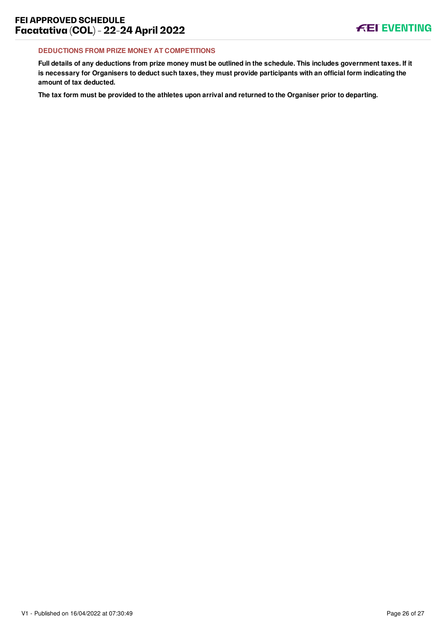#### **DEDUCTIONS FROM PRIZE MONEY AT COMPETITIONS**

**Full details of any deductions from prize money must be outlined in the schedule. This includes government taxes. If it is necessary for Organisers to deduct such taxes, they must provide participants with an official form indicating the amount of tax deducted.**

**The tax form must be provided to the athletes upon arrival and returned to the Organiser prior to departing.**